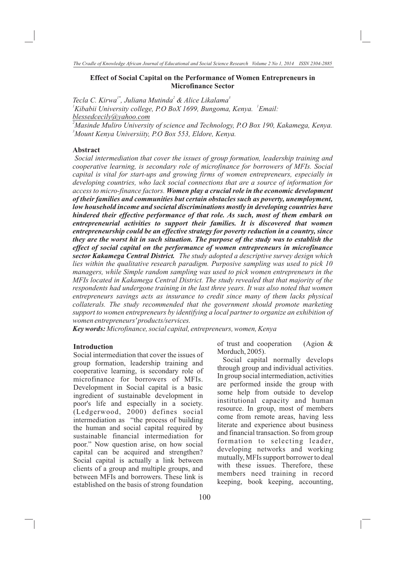## **Effect of Social Capital on the Performance of Women Entrepreneurs in Microfinance Sector**

*Tecla C. Kirwa<sup>1\*</sup>, Juliana Mutinda<sup>2</sup> & Alice Likalama<sup>3</sup>* <sup>1</sup> *Kibabii University college, P.O BoX 1699, Bungoma, Kenya.* <sup>1</sup> *Email: blessedcecily@yahoo.com*

*<sup>2</sup>Masinde Muliro University of science and Technology, P.O Box 190, Kakamega, Kenya. <sup>3</sup>Mount Kenya Universiity, P.O Box 553, Eldore, Kenya.*

## **Abstract**

*Social intermediation that cover the issues of group formation, leadership training and cooperative learning, is secondary role of microfinance for borrowers of MFIs. Social capital is vital for start-ups and growing firms of women entrepreneurs, especially in developing countries, who lack social connections that are a source of information for access to micro-finance factors. Women play a crucial role in the economic development of their families and communities but certain obstacles such as poverty, unemployment, low household income and societal discriminations mostly in developing countries have hindered their effective performance of that role. As such, most of them embark on entrepreneurial activities to support their families. It is discovered that women entrepreneurship could be an effective strategy for poverty reduction in a country, since they are the worst hit in such situation. The purpose of the study was to establish the effect of social capital on the performance of women entrepreneurs in microfinance sector Kakamega Central District. The study adopted a descriptive survey design which lies within the qualitative research paradigm. Purposive sampling was used to pick 10 managers, while Simple random sampling was used to pick women entrepreneurs in the MFIs located in Kakamega Central District. The study revealed that that majority of the respondents had undergone training in the last three years. It was also noted that women entrepreneurs savings acts as insurance to credit since many of them lacks physical collaterals. The study recommended that the government should promote marketing support to women entrepreneurs by identifying a local partner to organize an exhibition of women entrepreneurs' products/services.*

*Key words: Microfinance, social capital, entrepreneurs, women, Kenya*

# **Introduction**

Social intermediation that cover the issues of group formation, leadership training and cooperative learning, is secondary role of microfinance for borrowers of MFIs. Development in Social capital is a basic ingredient of sustainable development in poor's life and especially in a society. (Ledgerwood, 2000) defines social intermediation as "the process of building the human and social capital required by sustainable financial intermediation for poor." Now question arise, on how social capital can be acquired and strengthen? Social capital is actually a link between clients of a group and multiple groups, and between MFIs and borrowers. These link is established on the basis of strong foundation

of trust and cooperation (Agion & Morduch, 2005).

 Social capital normally develops through group and individual activities. In group social intermediation, activities are performed inside the group with some help from outside to develop institutional capacity and human resource. In group, most of members come from remote areas, having less literate and experience about business and financial transaction. So from group formation to selecting leader, developing networks and working mutually, MFIs support borrower to deal with these issues. Therefore, these members need training in record keeping, book keeping, accounting,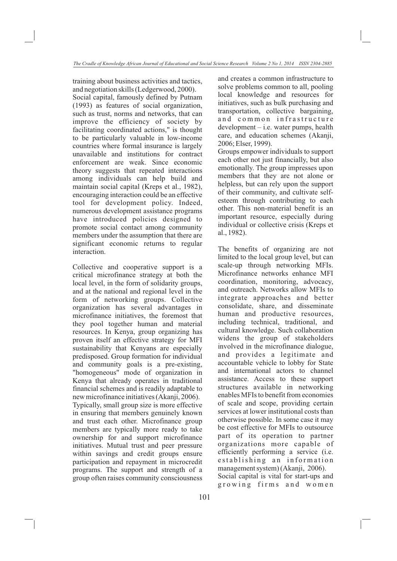training about business activities and tactics, and negotiation skills (Ledgerwood, 2000).

Social capital, famously defined by Putnam (1993) as features of social organization, such as trust, norms and networks, that can improve the efficiency of society by facilitating coordinated actions," is thought to be particularly valuable in low-income countries where formal insurance is largely unavailable and institutions for contract enforcement are weak. Since economic theory suggests that repeated interactions among individuals can help build and maintain social capital (Kreps et al., 1982), encouraging interaction could be an effective tool for development policy. Indeed, numerous development assistance programs have introduced policies designed to promote social contact among community members under the assumption that there are significant economic returns to regular interaction.

Collective and cooperative support is a critical microfinance strategy at both the local level, in the form of solidarity groups, and at the national and regional level in the form of networking groups. Collective organization has several advantages in microfinance initiatives, the foremost that they pool together human and material resources. In Kenya, group organizing has proven itself an effective strategy for MFI sustainability that Kenyans are especially predisposed. Group formation for individual and community goals is a pre-existing, "homogeneous" mode of organization in Kenya that already operates in traditional financial schemes and is readily adaptable to new microfinance initiatives (Akanji, 2006). Typically, small group size is more effective in ensuring that members genuinely known and trust each other. Microfinance group members are typically more ready to take ownership for and support microfinance initiatives. Mutual trust and peer pressure within savings and credit groups ensure participation and repayment in microcredit programs. The support and strength of a group often raises community consciousness and creates a common infrastructure to solve problems common to all, pooling local knowledge and resources for initiatives, such as bulk purchasing and transportation, collective bargaining, and common infrastructure development – i.e. water pumps, health care, and education schemes (Akanji, 2006; Elser, 1999).

Groups empower individuals to support each other not just financially, but also emotionally. The group impresses upon members that they are not alone or helpless, but can rely upon the support of their community, and cultivate selfesteem through contributing to each other. This non-material benefit is an important resource, especially during individual or collective crisis (Kreps et al., 1982).

The benefits of organizing are not limited to the local group level, but can scale-up through networking MFIs. Microfinance networks enhance MFI coordination, monitoring, advocacy, and outreach. Networks allow MFIs to integrate approaches and better consolidate, share, and disseminate human and productive resources, including technical, traditional, and cultural knowledge. Such collaboration widens the group of stakeholders involved in the microfinance dialogue, and provides a legitimate and accountable vehicle to lobby for State and international actors to channel assistance. Access to these support structures available in networking enables MFIs to benefit from economies of scale and scope, providing certain services at lower institutional costs than otherwise possible. In some case it may be cost effective for MFIs to outsource part of its operation to partner organizations more capable of efficiently performing a service (i.e. e stablishing an information management system) (Akanji, 2006). Social capital is vital for start-ups and growing firms and women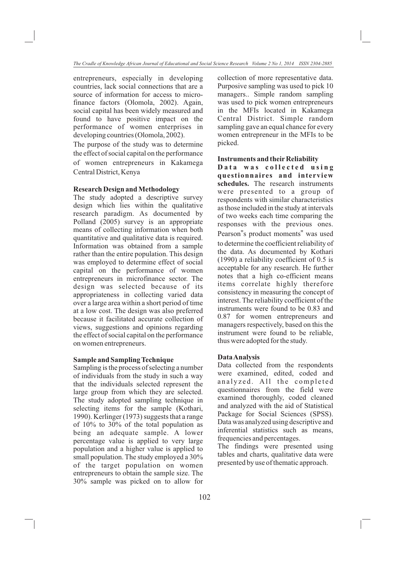entrepreneurs, especially in developing countries, lack social connections that are a source of information for access to microfinance factors (Olomola, 2002). Again, social capital has been widely measured and found to have positive impact on the performance of women enterprises in developing countries (Olomola, 2002).

The purpose of the study was to determine the effect of social capital on the performance of women entrepreneurs in Kakamega Central District, Kenya

# **Research Design and Methodology**

The study adopted a descriptive survey design which lies within the qualitative research paradigm. As documented by Polland (2005) survey is an appropriate means of collecting information when both quantitative and qualitative data is required. Information was obtained from a sample rather than the entire population. This design was employed to determine effect of social capital on the performance of women entrepreneurs in microfinance sector. The design was selected because of its appropriateness in collecting varied data over a large area within a short period of time at a low cost. The design was also preferred because it facilitated accurate collection of views, suggestions and opinions regarding the effect of social capital on the performance on women entrepreneurs.

# **Sample and Sampling Technique**

Sampling is the process of selecting a number of individuals from the study in such a way that the individuals selected represent the large group from which they are selected. The study adopted sampling technique in selecting items for the sample (Kothari, 1990). Kerlinger (1973) suggests that a range of 10% to 30% of the total population as being an adequate sample. A lower percentage value is applied to very large population and a higher value is applied to small population. The study employed a 30% of the target population on women entrepreneurs to obtain the sample size. The 30% sample was picked on to allow for collection of more representative data. Purposive sampling was used to pick 10 managers.. Simple random sampling was used to pick women entrepreneurs in the MFIs located in Kakamega Central District. Simple random sampling gave an equal chance for every women entrepreneur in the MFIs to be picked.

#### **Instruments and their Reliability**

D a t a was collected using **questionnaires and interview schedules.** The research instruments were presented to a group of respondents with similar characteristics as those included in the study at intervals of two weeks each time comparing the responses with the previous ones. Pearson"s product moments" was used to determine the coefficient reliability of the data. As documented by Kothari (1990) a reliability coefficient of 0.5 is acceptable for any research. He further notes that a high co-efficient means items correlate highly therefore consistency in measuring the concept of interest. The reliability coefficient of the instruments were found to be 0.83 and 0.87 for women entrepreneurs and managers respectively, based on this the instrument were found to be reliable, thus were adopted for the study.

#### **Data Analysis**

Data collected from the respondents were examined, edited, coded and analyzed. All the completed questionnaires from the field were examined thoroughly, coded cleaned and analyzed with the aid of Statistical Package for Social Sciences (SPSS). Data was analyzed using descriptive and inferential statistics such as means, frequencies and percentages.

The findings were presented using tables and charts, qualitative data were presented by use of thematic approach.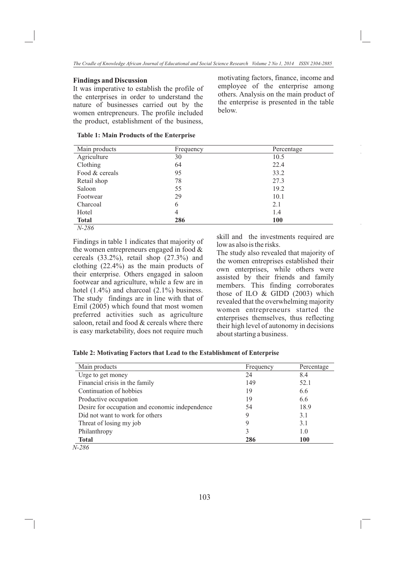#### **Findings and Discussion**

It was imperative to establish the profile of the enterprises in order to understand the nature of businesses carried out by the women entrepreneurs. The profile included the product, establishment of the business,

motivating factors, finance, income and employee of the enterprise among others. Analysis on the main product of the enterprise is presented in the table below.

### **Table 1: Main Products of the Enterprise**

| Main products  | Frequency | Percentage |
|----------------|-----------|------------|
| Agriculture    | 30        | 10.5       |
| Clothing       | 64        | 22.4       |
| Food & cereals | 95        | 33.2       |
| Retail shop    | 78        | 27.3       |
| Saloon         | 55        | 19.2       |
| Footwear       | 29        | 10.1       |
| Charcoal       | 6         | 2.1        |
| Hotel          | 4         | 1.4        |
| <b>Total</b>   | 286       | <b>100</b> |
| $N-286$        |           |            |

Findings in table 1 indicates that majority of the women entrepreneurs engaged in food & cereals (33.2%), retail shop (27.3%) and clothing (22.4%) as the main products of their enterprise. Others engaged in saloon footwear and agriculture, while a few are in hotel (1.4%) and charcoal (2.1%) business. The study findings are in line with that of Emil (2005) which found that most women preferred activities such as agriculture saloon, retail and food & cereals where there is easy marketability, does not require much

skill and the investments required are low as also is the risks.

The study also revealed that majority of the women entreprises established their own enterprises, while others were assisted by their friends and family members. This finding corroborates those of ILO & GIDD (2003) which revealed that the overwhelming majority women entrepreneurs started the enterprises themselves, thus reflecting their high level of autonomy in decisions about starting a business.

| Table 2: Motivating Factors that Lead to the Establishment of Enterprise |  |  |  |  |
|--------------------------------------------------------------------------|--|--|--|--|
|--------------------------------------------------------------------------|--|--|--|--|

| Main products                                   | Frequency | Percentage |
|-------------------------------------------------|-----------|------------|
| Urge to get money                               | 24        | 8.4        |
| Financial crisis in the family                  | 149       | 52.1       |
| Continuation of hobbies                         | 19        | 6.6        |
| Productive occupation                           | 19        | 6.6        |
| Desire for occupation and economic independence | 54        | 18.9       |
| Did not want to work for others                 | 9         | 3.1        |
| Threat of losing my job                         | 9         | 3.1        |
| Philanthropy                                    | 3         | 1.0        |
| <b>Total</b>                                    | 286       | <b>100</b> |

*N-286*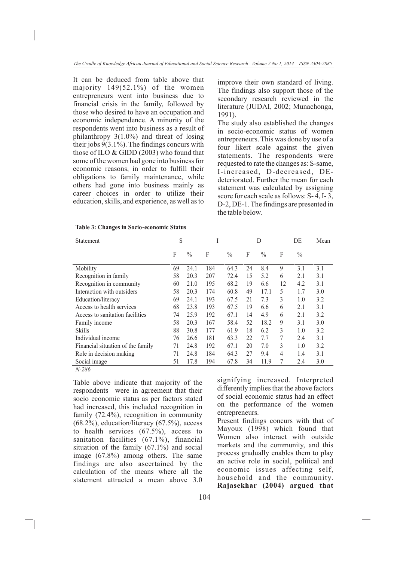It can be deduced from table above that majority 149(52.1%) of the women entrepreneurs went into business due to financial crisis in the family, followed by those who desired to have an occupation and economic independence. A minority of the respondents went into business as a result of philanthropy  $3(1.0\%)$  and threat of losing their jobs 9(3.1%). The findings concurs with those of ILO & GIDD (2003) who found that some of the women had gone into business for economic reasons, in order to fulfill their obligations to family maintenance, while others had gone into business mainly as career choices in order to utilize their education, skills, and experience, as well as to

improve their own standard of living. The findings also support those of the secondary research reviewed in the literature (JUDAI, 2002; Munachonga, 1991).

The study also established the changes in socio-economic status of women entrepreneurs. This was done by use of a four likert scale against the given statements. The respondents were requested to rate the changes as: S-same, I-increased, D-decreased, DEdeteriorated. Further the mean for each statement was calculated by assigning score for each scale as follows: S- 4, I- 3, D-2, DE-1. The findings are presented in the table below.

| <b>Table 3: Changes in Socio-economic Status</b> |
|--------------------------------------------------|
|--------------------------------------------------|

| Statement                         | S  |               | Ŧ   |               | $\overline{\mathsf{D}}$ |               |    | DE            | Mean |
|-----------------------------------|----|---------------|-----|---------------|-------------------------|---------------|----|---------------|------|
|                                   | F  | $\frac{0}{0}$ | F   | $\frac{0}{0}$ | F                       | $\frac{0}{0}$ | F  | $\frac{0}{0}$ |      |
| Mobility                          | 69 | 24.1          | 184 | 64.3          | 24                      | 8.4           | 9  | 3.1           | 3.1  |
| Recognition in family             | 58 | 20.3          | 207 | 72.4          | 15                      | 5.2           | 6  | 2.1           | 3.1  |
| Recognition in community          | 60 | 21.0          | 195 | 68.2          | 19                      | 6.6           | 12 | 4.2           | 3.1  |
| Interaction with outsiders        | 58 | 20.3          | 174 | 60.8          | 49                      | 17.1          | 5  | 1.7           | 3.0  |
| Education/literacy                | 69 | 24.1          | 193 | 67.5          | 21                      | 7.3           | 3  | 1.0           | 3.2  |
| Access to health services         | 68 | 23.8          | 193 | 67.5          | 19                      | 6.6           | 6  | 2.1           | 3.1  |
| Access to sanitation facilities   | 74 | 25.9          | 192 | 67.1          | 14                      | 4.9           | 6  | 2.1           | 3.2  |
| Family income                     | 58 | 20.3          | 167 | 58.4          | 52                      | 18.2          | 9  | 3.1           | 3.0  |
| <b>Skills</b>                     | 88 | 30.8          | 177 | 61.9          | 18                      | 6.2           | 3  | 1.0           | 3.2  |
| Individual income                 | 76 | 26.6          | 181 | 63.3          | 22                      | 7.7           | 7  | 2.4           | 3.1  |
| Financial situation of the family | 71 | 24.8          | 192 | 67.1          | 20                      | 7.0           | 3  | 1.0           | 3.2  |
| Role in decision making           | 71 | 24.8          | 184 | 64.3          | 27                      | 9.4           | 4  | 1.4           | 3.1  |
| Social image                      | 51 | 17.8          | 194 | 67.8          | 34                      | 11.9          | 7  | 2.4           | 3.0  |
| N-286                             |    |               |     |               |                         |               |    |               |      |

Table above indicate that majority of the respondents were in agreement that their socio economic status as per factors stated had increased, this included recognition in family (72.4%), recognition in community (68.2%), education/literacy (67.5%), access to health services (67.5%), access to sanitation facilities (67.1%), financial situation of the family (67.1%) and social image (67.8%) among others. The same findings are also ascertained by the calculation of the means where all the statement attracted a mean above 3.0 signifying increased. Interpreted differently implies that the above factors of social economic status had an effect on the performance of the women entrepreneurs.

Present findings concurs with that of Mayoux (1998) which found that Women also interact with outside markets and the community, and this process gradually enables them to play an active role in social, political and economic issues affecting self, household and the community. **Rajasekhar (2004) argued that**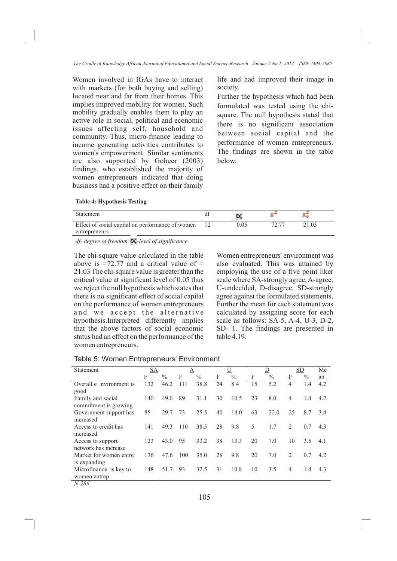Women involved in IGAs have to interact with markets (for both buying and selling) located near and far from their homes. This implies improved mobility for women. Such mobility gradually enables them to play an active role in social, political and economic issues affecting self, household and community. Thus, micro-finance leading to income generating activities contributes to women's empowerment. Similar sentiments are also supported by Goheer (2003) findings, who established the majority of women entrepreneurs indicated that doing business had a positive effect on their family

life and had improved their image in society.

Further the hypothesis which had been formulated was tested using the chisquare. The null hypothesis stated that there is no significant association between social capital and the performance of women entrepreneurs. The findings are shown in the table below.

| <b>Table 4: Hypothesis Testing</b> |  |
|------------------------------------|--|
|------------------------------------|--|

| Statement                                        |      |       |
|--------------------------------------------------|------|-------|
| Effect of social capital on performance of women | 0.05 | :1.03 |
| entrepreneurs                                    |      |       |

*df- degree of freedom*,  $\blacksquare$ -*level of significance* 

The chi-square value calculated in the table above is  $=72.77$  and a critical value of  $=$ 21.03 The chi-square value is greater than the critical value at significant level of 0.05 thus we reject the null hypothesis which states that there is no significant effect of social capital on the performance of women entrepreneurs and we accept the alternative hypothesis.Interpreted differently implies that the above factors of social economic status had an effect on the performance of the women entrepreneurs.

Women entrepreneurs' environment was also evaluated. This was attained by employing the use of a five point liker scale where SA-strongly agree, A-agree, U-undecided, D-disagree, SD-strongly agree against the formulated statements. Further the mean for each statement was calculated by assigning score for each scale as follows: SA-5, A-4, U-3, D-2, SD- 1. The findings are presented in table 4.19.

|  | Table 5: Women Entrepreneurs' Environment |  |  |
|--|-------------------------------------------|--|--|
|--|-------------------------------------------|--|--|

| Statement               | <b>SA</b> |               | А   |               |    | U             |    | D             |                    | <b>SD</b>     | Me  |
|-------------------------|-----------|---------------|-----|---------------|----|---------------|----|---------------|--------------------|---------------|-----|
|                         | F         | $\frac{0}{0}$ | F   | $\frac{0}{0}$ | F  | $\frac{0}{0}$ | F  | $\frac{0}{0}$ | F                  | $\frac{0}{0}$ | an  |
| Overall e nvironment is | 132       | 46.2          | 111 | 38.8          | 24 | 8.4           | 15 | 5.2           | 4                  | 1.4           | 4.2 |
| good                    |           |               |     |               |    |               |    |               |                    |               |     |
| Family and social       | 140       | 49.0          | 89  | 31.1          | 30 | 10.5          | 23 | 8.0           | $\overline{4}$     | 1.4           | 4.2 |
| commitment is growing   |           |               |     |               |    |               |    |               |                    |               |     |
| Government support has  | 85        | 29.7          | 73  | 25.5          | 40 | 14.0          | 63 | 22.0          | 25                 | 8.7           | 3.4 |
| increased               |           |               |     |               |    |               |    |               |                    |               |     |
| Access to credit has    | 141       | 49.3          | 110 | 38.5          | 28 | 9.8           | 5  | 1.7           | $\mathfrak{D}_{1}$ | 0.7           | 4.3 |
| increased               |           |               |     |               |    |               |    |               |                    |               |     |
| Access to support       | 123       | 43.0          | 95  | 33.2          | 38 | 13.3          | 20 | 7.0           | 10                 | 3.5           | 4.1 |
| network has increase    |           |               |     |               |    |               |    |               |                    |               |     |
| Market for women entre  | 136       | 47.6          | 100 | 35.0          | 28 | 9.8           | 20 | 7.0           | 2                  | 0.7           | 4.2 |
| is expanding            |           |               |     |               |    |               |    |               |                    |               |     |
| Microfinance is key to  | 148       | 51.7          | 93  | 32.5          | 31 | 10.8          | 10 | 3.5           | $\overline{4}$     | 1.4           | 4.3 |
| women entrep            |           |               |     |               |    |               |    |               |                    |               |     |
| 37.20                   |           |               |     |               |    |               |    |               |                    |               |     |

*N-286*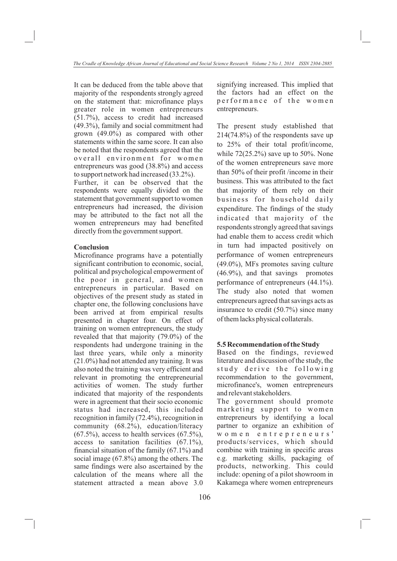It can be deduced from the table above that majority of the respondents strongly agreed on the statement that: microfinance plays greater role in women entrepreneurs (51.7%), access to credit had increased (49.3%), family and social commitment had grown (49.0%) as compared with other statements within the same score. It can also be noted that the respondents agreed that the overall environment for women entrepreneurs was good (38.8%) and access to support network had increased (33.2%).

Further, it can be observed that the respondents were equally divided on the statement that government support to women entrepreneurs had increased, the division may be attributed to the fact not all the women entrepreneurs may had benefited directly from the government support.

# **Conclusion**

Microfinance programs have a potentially significant contribution to economic, social, political and psychological empowerment of the poor in general, and women entrepreneurs in particular. Based on objectives of the present study as stated in chapter one, the following conclusions have been arrived at from empirical results presented in chapter four. On effect of training on women entrepreneurs, the study revealed that that majority (79.0%) of the respondents had undergone training in the last three years, while only a minority (21.0%) had not attended any training. It was also noted the training was very efficient and relevant in promoting the entrepreneurial activities of women. The study further indicated that majority of the respondents were in agreement that their socio economic status had increased, this included recognition in family (72.4%), recognition in community (68.2%), education/literacy  $(67.5\%)$ , access to health services  $(67.5\%)$ , access to sanitation facilities  $(67.1\%)$ , financial situation of the family (67.1%) and social image (67.8%) among the others. The same findings were also ascertained by the calculation of the means where all the statement attracted a mean above 3.0

signifying increased. This implied that the factors had an effect on the performance of the women entrepreneurs.

The present study established that 214(74.8%) of the respondents save up to 25% of their total profit/income, while  $72(25.2%)$  save up to 50%. None of the women entrepreneurs save more than 50% of their profit /income in their business. This was attributed to the fact that majority of them rely on their business for household daily expenditure. The findings of the study indicated that majority of the respondents strongly agreed that savings had enable them to access credit which in turn had impacted positively on performance of women entrepreneurs (49.0%), MFs promotes saving culture (46.9%), and that savings promotes performance of entrepreneurs (44.1%). The study also noted that women entrepreneurs agreed that savings acts as insurance to credit (50.7%) since many of them lacks physical collaterals.

#### **5.5 Recommendation of the Study**

Based on the findings, reviewed literature and discussion of the study, the study derive the following recommendation to the government, microfinance's, women entrepreneurs and relevant stakeholders.

The government should promote marketing support to women entrepreneurs by identifying a local partner to organize an exhibition of w o m e n e n t r e p r e n e u r s ' products/services, which should combine with training in specific areas e.g. marketing skills, packaging of products, networking. This could include: opening of a pilot showroom in Kakamega where women entrepreneurs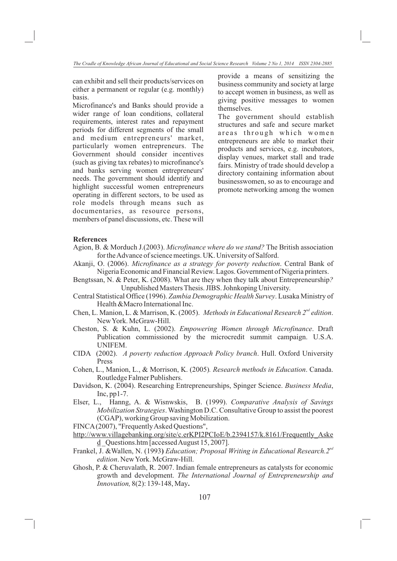can exhibit and sell their products/services on either a permanent or regular (e.g. monthly) basis.

Microfinance's and Banks should provide a wider range of loan conditions, collateral requirements, interest rates and repayment periods for different segments of the small and medium entrepreneurs' market, particularly women entrepreneurs. The Government should consider incentives (such as giving tax rebates) to microfinance's and banks serving women entrepreneurs' needs. The government should identify and highlight successful women entrepreneurs operating in different sectors, to be used as role models through means such as documentaries, as resource persons, members of panel discussions, etc. These will provide a means of sensitizing the business community and society at large to accept women in business, as well as giving positive messages to women themselves.

The government should establish structures and safe and secure market areas through which women entrepreneurs are able to market their products and services, e.g. incubators, display venues, market stall and trade fairs. Ministry of trade should develop a directory containing information about businesswomen, so as to encourage and promote networking among the women

#### **References**

- Agion, B. & Morduch J.(2003). *Microfinance where do we stand?* The British association for the Advance of science meetings. UK. University of Salford.
- Akanji, O. (2006). *Microfinance as a strategy for poverty reduction*. Central Bank of Nigeria Economic and Financial Review. Lagos. Government of Nigeria printers.
- Bengtssan, N. & Peter, K. (2008). What are they when they talk about Entrepreneurship*?* Unpublished Masters Thesis. JIBS. Johnkoping University.
- Central Statistical Office (1996). *Zambia Demographic Health Survey*. Lusaka Ministry of Health &Macro International Inc.
- Chen, L. Manion, L. & Marrison, K. (2005). *Methods in Educational Research 2<sup>nd</sup> edition*. New York. McGraw-Hill.
- Cheston, S. & Kuhn, L. (2002). *Empowering Women through Microfinance*. Draft Publication commissioned by the microcredit summit campaign. U.S.A. UNIFEM.
- CIDA (2002). *A poverty reduction Approach Policy branch*. Hull. Oxford University Press
- Cohen, L., Manion, L., & Morrison, K. (2005)*. Research methods in Education*. Canada. Routledge Falmer Publishers.
- Davidson, K. (2004). Researching Entrepreneurships, Spinger Science. *Business Media*, Inc,  $pp1-7$ .
- Elser, L., Hanng, A. & Wisnwskis, B. (1999). *Comparative Analysis of Savings Mobilization Strategies*. Washington D.C. Consultative Group to assist the poorest (CGAP), working Group saving Mobilization.
- FINCA (2007), "Frequently Asked Questions",
- http://www.villagebanking.org/site/c.erKPI2PCIoE/b.2394157/k.8161/Frequently\_Aske  $d$  Questions.htm [accessed August 15, 2007].
- *nd* Frankel, J. &Wallen, N. (1993**)** *Education; Proposal Writing in Educational Research.2 edition*. New York. McGraw-Hill.
- Ghosh, P. & Cheruvalath, R. 2007. Indian female entrepreneurs as catalysts for economic growth and development. *The International Journal of Entrepreneurship and Innovation,* 8(2): 139-148, May**.**